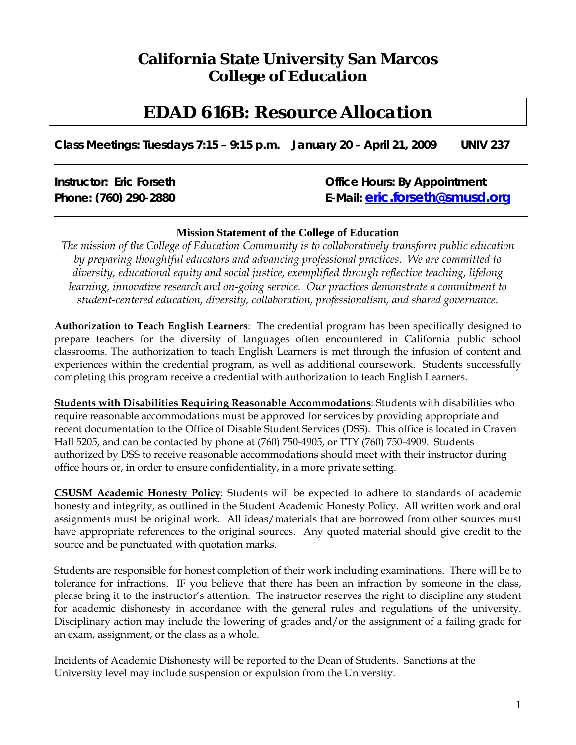# **California State University San Marcos College of Education**

# *EDAD 616B: Resource Allocation*

 **Class Meetings: Tuesdays 7:15 – 9:15 p.m. January 20 – April 21, 2009 UNIV 237** 

| <b>Instructor: Eric Forseth</b> | <b>Office Hours: By Appointment</b>   |  |
|---------------------------------|---------------------------------------|--|
| Phone: (760) 290-2880           | E-Mail: <u>eric.forseth@smusd.orq</u> |  |
|                                 |                                       |  |

#### **Mission Statement of the College of Education**

*The mission of the College of Education Community is to collaboratively transform public education by preparing thoughtful educators and advancing professional practices. We are committed to diversity, educational equity and social justice, exemplified through reflective teaching, lifelong learning, innovative research and on-going service. Our practices demonstrate a commitment to student-centered education, diversity, collaboration, professionalism, and shared governance.* 

**Authorization to Teach English Learners**: The credential program has been specifically designed to prepare teachers for the diversity of languages often encountered in California public school classrooms. The authorization to teach English Learners is met through the infusion of content and experiences within the credential program, as well as additional coursework. Students successfully completing this program receive a credential with authorization to teach English Learners.

**Students with Disabilities Requiring Reasonable Accommodations**: Students with disabilities who require reasonable accommodations must be approved for services by providing appropriate and recent documentation to the Office of Disable Student Services (DSS). This office is located in Craven Hall 5205, and can be contacted by phone at (760) 750-4905, or TTY (760) 750-4909. Students authorized by DSS to receive reasonable accommodations should meet with their instructor during office hours or, in order to ensure confidentiality, in a more private setting.

source and be punctuated with quotation marks. **CSUSM Academic Honesty Policy**: Students will be expected to adhere to standards of academic honesty and integrity, as outlined in the Student Academic Honesty Policy. All written work and oral assignments must be original work. All ideas/materials that are borrowed from other sources must have appropriate references to the original sources. Any quoted material should give credit to the

Students are responsible for honest completion of their work including examinations. There will be to tolerance for infractions. IF you believe that there has been an infraction by someone in the class, please bring it to the instructor's attention. The instructor reserves the right to discipline any student for academic dishonesty in accordance with the general rules and regulations of the university. Disciplinary action may include the lowering of grades and/or the assignment of a failing grade for an exam, assignment, or the class as a whole.

Incidents of Academic Dishonesty will be reported to the Dean of Students. Sanctions at the University level may include suspension or expulsion from the University.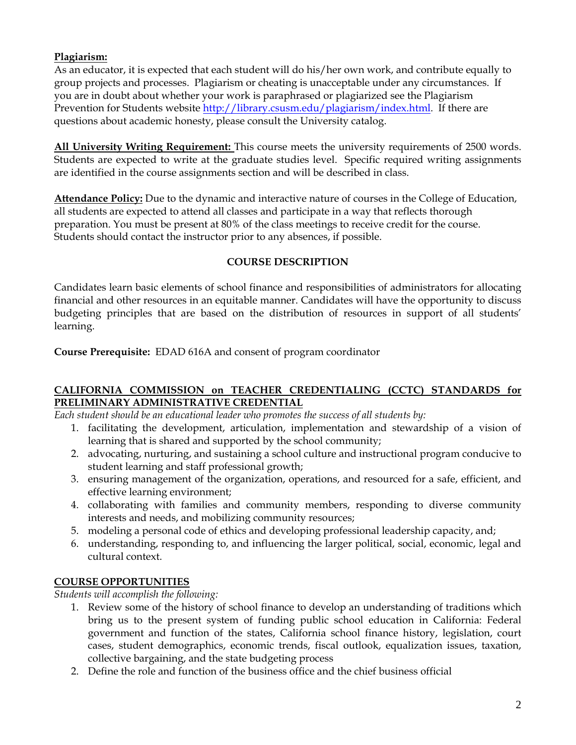#### **Plagiarism:**

As an educator, it is expected that each student will do his/her own work, and contribute equally to group projects and processes. Plagiarism or cheating is unacceptable under any circumstances. If you are in doubt about whether your work is paraphrased or plagiarized see the Plagiarism Prevention for Students website http://library.csusm.edu/plagiarism/index.html. If there are questions about academic honesty, please consult the University catalog.

**All University Writing Requirement:** This course meets the university requirements of 2500 words. Students are expected to write at the graduate studies level. Specific required writing assignments are identified in the course assignments section and will be described in class.

**Attendance Policy:** Due to the dynamic and interactive nature of courses in the College of Education, all students are expected to attend all classes and participate in a way that reflects thorough preparation. You must be present at 80% of the class meetings to receive credit for the course. Students should contact the instructor prior to any absences, if possible.

#### **COURSE DESCRIPTION**

Candidates learn basic elements of school finance and responsibilities of administrators for allocating financial and other resources in an equitable manner. Candidates will have the opportunity to discuss budgeting principles that are based on the distribution of resources in support of all students' learning.

**Course Prerequisite:** EDAD 616A and consent of program coordinator

#### **CALIFORNIA COMMISSION on TEACHER CREDENTIALING (CCTC) STANDARDS for PRELIMINARY ADMINISTRATIVE CREDENTIAL**

*Each student should be an educational leader who promotes the success of all students by:* 

- 1. facilitating the development, articulation, implementation and stewardship of a vision of learning that is shared and supported by the school community;
- 2. advocating, nurturing, and sustaining a school culture and instructional program conducive to student learning and staff professional growth;
- 3. ensuring management of the organization, operations, and resourced for a safe, efficient, and effective learning environment;
- 4. collaborating with families and community members, responding to diverse community interests and needs, and mobilizing community resources;
- 5. modeling a personal code of ethics and developing professional leadership capacity, and;
- 6. understanding, responding to, and influencing the larger political, social, economic, legal and cultural context.

## **COURSE OPPORTUNITIES**

*Students will accomplish the following:* 

- 1. Review some of the history of school finance to develop an understanding of traditions which bring us to the present system of funding public school education in California: Federal government and function of the states, California school finance history, legislation, court cases, student demographics, economic trends, fiscal outlook, equalization issues, taxation, collective bargaining, and the state budgeting process
- 2. Define the role and function of the business office and the chief business official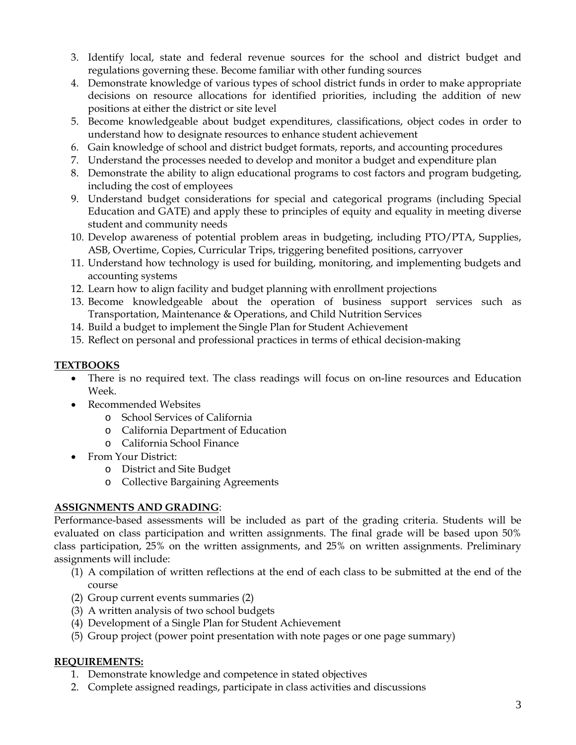- 3. Identify local, state and federal revenue sources for the school and district budget and regulations governing these. Become familiar with other funding sources
- 4. Demonstrate knowledge of various types of school district funds in order to make appropriate decisions on resource allocations for identified priorities, including the addition of new positions at either the district or site level
- 5. Become knowledgeable about budget expenditures, classifications, object codes in order to understand how to designate resources to enhance student achievement
- 6. Gain knowledge of school and district budget formats, reports, and accounting procedures
- 7. Understand the processes needed to develop and monitor a budget and expenditure plan
- 8. Demonstrate the ability to align educational programs to cost factors and program budgeting, including the cost of employees
- 9. Understand budget considerations for special and categorical programs (including Special Education and GATE) and apply these to principles of equity and equality in meeting diverse student and community needs
- 10. Develop awareness of potential problem areas in budgeting, including PTO/PTA, Supplies, ASB, Overtime, Copies, Curricular Trips, triggering benefited positions, carryover
- 11. Understand how technology is used for building, monitoring, and implementing budgets and accounting systems
- 12. Learn how to align facility and budget planning with enrollment projections
- 13. Become knowledgeable about the operation of business support services such as Transportation, Maintenance & Operations, and Child Nutrition Services
- 14. Build a budget to implement the Single Plan for Student Achievement
- 15. Reflect on personal and professional practices in terms of ethical decision-making

## **TEXTBOOKS**

- There is no required text. The class readings will focus on on-line resources and Education Week.
- Recommended Websites
	- o School Services of California
	- o California Department of Education
	- o California School Finance
- From Your District:
	- o District and Site Budget
	- o Collective Bargaining Agreements

## **ASSIGNMENTS AND GRADING**:

Performance-based assessments will be included as part of the grading criteria. Students will be evaluated on class participation and written assignments. The final grade will be based upon 50% class participation, 25% on the written assignments, and 25% on written assignments. Preliminary assignments will include:

- (1) A compilation of written reflections at the end of each class to be submitted at the end of the course
- (2) Group current events summaries (2)
- (3) A written analysis of two school budgets
- (4) Development of a Single Plan for Student Achievement
- (5) Group project (power point presentation with note pages or one page summary)

#### **REQUIREMENTS:**

- 1. Demonstrate knowledge and competence in stated objectives
- 2. Complete assigned readings, participate in class activities and discussions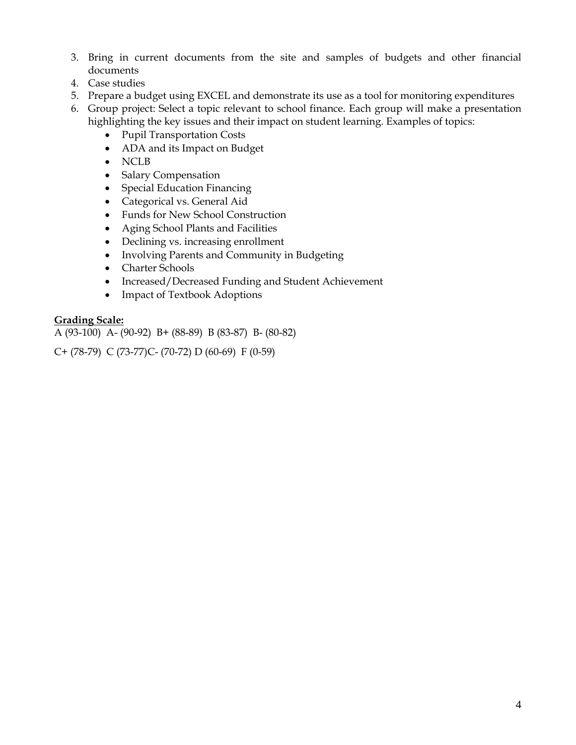- 3. Bring in current documents from the site and samples of budgets and other financial documents
- 4. Case studies
- 5. Prepare a budget using EXCEL and demonstrate its use as a tool for monitoring expenditures
- 6. Group project: Select a topic relevant to school finance. Each group will make a presentation highlighting the key issues and their impact on student learning. Examples of topics:
	- • Pupil Transportation Costs
	- ADA and its Impact on Budget
	- NCLB
	- Salary Compensation
	- Special Education Financing
	- • Categorical vs. General Aid
	- • Funds for New School Construction
	- • Aging School Plants and Facilities
	- Declining vs. increasing enrollment
	- Involving Parents and Community in Budgeting
	- Charter Schools
	- Increased/Decreased Funding and Student Achievement
	- Impact of Textbook Adoptions

#### **Grading Scale:**

A (93-100) A- (90-92) B+ (88-89) B (83-87) B- (80-82)

C+ (78-79) C (73-77)C- (70-72) D (60-69) F (0-59)